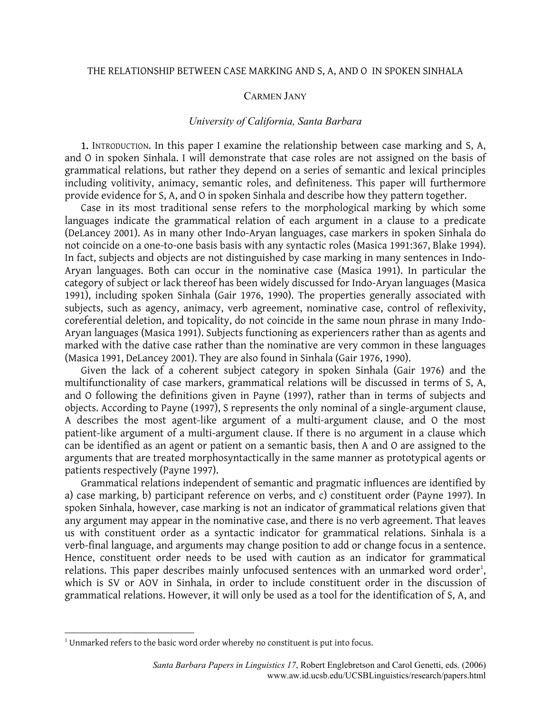## THE RELATIONSHIP BETWEEN CASE MARKING AND S, A, AND O IN SPOKEN SINHALA

## CARMEN JANY

## *University of California, Santa Barbara*

1. INTRODUCTION. In this paper I examine the relationship between case marking and S, A, and O in spoken Sinhala. I will demonstrate that case roles are not assigned on the basis of grammatical relations, but rather they depend on a series of semantic and lexical principles including volitivity, animacy, semantic roles, and definiteness. This paper will furthermore provide evidence for S, A, and O in spoken Sinhala and describe how they pattern together.

Case in its most traditional sense refers to the morphological marking by which some languages indicate the grammatical relation of each argument in a clause to a predicate (DeLancey 2001). As in many other Indo-Aryan languages, case markers in spoken Sinhala do not coincide on a one-to-one basis basis with any syntactic roles (Masica 1991:367, Blake 1994). In fact, subjects and objects are not distinguished by case marking in many sentences in Indo-Aryan languages. Both can occur in the nominative case (Masica 1991). In particular the category of subject or lack thereof has been widely discussed for Indo-Aryan languages (Masica 1991), including spoken Sinhala (Gair 1976, 1990). The properties generally associated with subjects, such as agency, animacy, verb agreement, nominative case, control of reflexivity, coreferential deletion, and topicality, do not coincide in the same noun phrase in many Indo-Aryan languages (Masica 1991). Subjects functioning as experiencers rather than as agents and marked with the dative case rather than the nominative are very common in these languages (Masica 1991, DeLancey 2001). They are also found in Sinhala (Gair 1976, 1990).

Given the lack of a coherent subject category in spoken Sinhala (Gair 1976) and the multifunctionality of case markers, grammatical relations will be discussed in terms of S, A, and O following the definitions given in Payne (1997), rather than in terms of subjects and objects. According to Payne (1997), S represents the only nominal of a single-argument clause, A describes the most agent-like argument of a multi-argument clause, and O the most patient-like argument of a multi-argument clause. If there is no argument in a clause which can be identified as an agent or patient on a semantic basis, then A and O are assigned to the arguments that are treated morphosyntactically in the same manner as prototypical agents or patients respectively (Payne 1997).

Grammatical relations independent of semantic and pragmatic influences are identified by a) case marking, b) participant reference on verbs, and c) constituent order (Payne 1997). In spoken Sinhala, however, case marking is not an indicator of grammatical relations given that any argument may appear in the nominative case, and there is no verb agreement. That leaves us with constituent order as a syntactic indicator for grammatical relations. Sinhala is a verb-final language, and arguments may change position to add or change focus in a sentence. Hence, constituent order needs to be used with caution as an indicator for grammatical relations. This paper describes mainly unfocused sentences with an unmarked word order<sup>[1](#page-0-0)</sup>, which is SV or AOV in Sinhala, in order to include constituent order in the discussion of grammatical relations. However, it will only be used as a tool for the identification of S, A, and

 $\overline{a}$ 

<span id="page-0-0"></span> $1$ <sup>1</sup> Unmarked refers to the basic word order whereby no constituent is put into focus.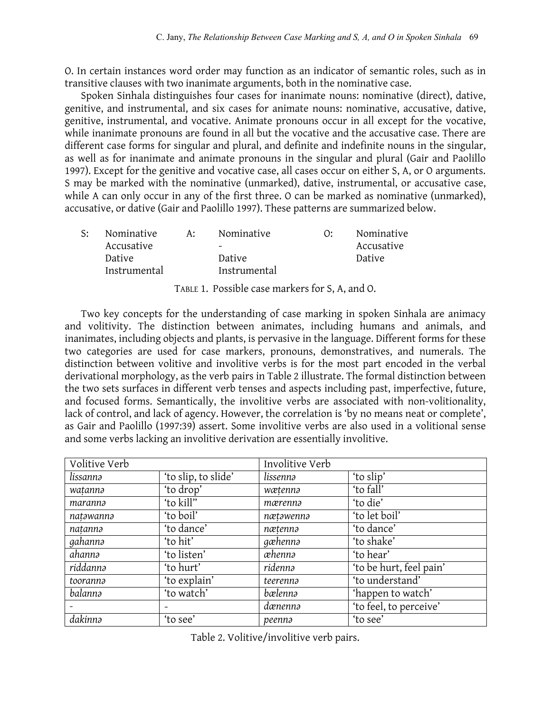O. In certain instances word order may function as an indicator of semantic roles, such as in transitive clauses with two inanimate arguments, both in the nominative case.

Spoken Sinhala distinguishes four cases for inanimate nouns: nominative (direct), dative, genitive, and instrumental, and six cases for animate nouns: nominative, accusative, dative, genitive, instrumental, and vocative. Animate pronouns occur in all except for the vocative, while inanimate pronouns are found in all but the vocative and the accusative case. There are different case forms for singular and plural, and definite and indefinite nouns in the singular, as well as for inanimate and animate pronouns in the singular and plural (Gair and Paolillo 1997). Except for the genitive and vocative case, all cases occur on either S, A, or O arguments. S may be marked with the nominative (unmarked), dative, instrumental, or accusative case, while A can only occur in any of the first three. O can be marked as nominative (unmarked), accusative, or dative (Gair and Paolillo 1997). These patterns are summarized below.

| S: | Nominative   | A: | Nominative               | Nominative |
|----|--------------|----|--------------------------|------------|
|    | Accusative   |    | $\overline{\phantom{0}}$ | Accusative |
|    | Dative       |    | Dative                   | Dative     |
|    | Instrumental |    | Instrumental             |            |
|    |              |    |                          |            |

TABLE 1. Possible case markers for S, A, and O.

Two key concepts for the understanding of case marking in spoken Sinhala are animacy and volitivity. The distinction between animates, including humans and animals, and inanimates, including objects and plants, is pervasive in the language. Different forms for these two categories are used for case markers, pronouns, demonstratives, and numerals. The distinction between volitive and involitive verbs is for the most part encoded in the verbal derivational morphology, as the verb pairs in Table 2 illustrate. The formal distinction between the two sets surfaces in different verb tenses and aspects including past, imperfective, future, and focused forms. Semantically, the involitive verbs are associated with non-volitionality, lack of control, and lack of agency. However, the correlation is 'by no means neat or complete', as Gair and Paolillo (1997:39) assert. Some involitive verbs are also used in a volitional sense and some verbs lacking an involitive derivation are essentially involitive.

| Volitive Verb |                     | Involitive Verb |                         |
|---------------|---------------------|-----------------|-------------------------|
| lissannə      | 'to slip, to slide' | lissennə        | 'to slip'               |
| watannə       | 'to drop'           | wætenna         | 'to fall'               |
| maranna       | 'to kill"           | mærennə         | 'to die'                |
| natəwannə     | 'to boil'           | nætəwennə       | 'to let boil'           |
| natanna       | 'to dance'          | nætenna         | 'to dance'              |
| gahannə       | 'to hit'            | gæhennə         | 'to shake'              |
| ahannə        | 'to listen'         | æhennə          | 'to hear'               |
| riddannə      | 'to hurt'           | ridennə         | 'to be hurt, feel pain' |
| tooranna      | 'to explain'        | teerenna        | 'to understand'         |
| balannə       | 'to watch'          | bælennə         | 'happen to watch'       |
|               |                     | dænennə         | 'to feel, to perceive'  |
| dakinnə       | 'to see'            | peennə          | 'to see'                |

Table 2. Volitive/involitive verb pairs.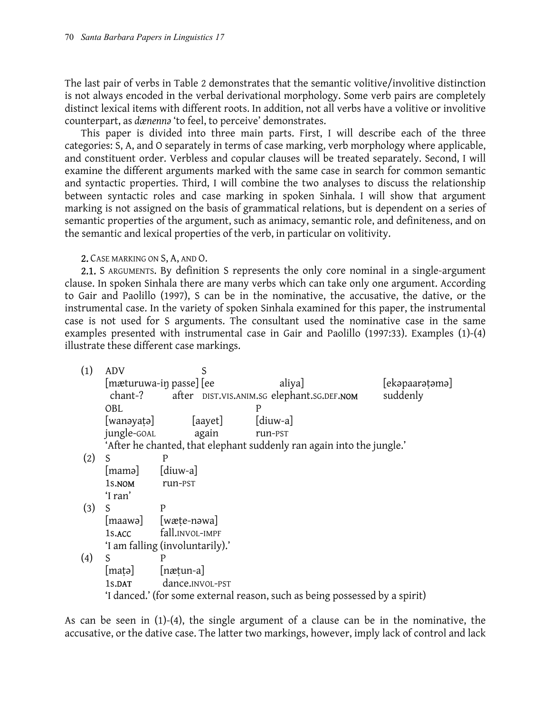The last pair of verbs in Table 2 demonstrates that the semantic volitive/involitive distinction is not always encoded in the verbal derivational morphology. Some verb pairs are completely distinct lexical items with different roots. In addition, not all verbs have a volitive or involitive counterpart, as *dænennǝ* 'to feel, to perceive' demonstrates.

This paper is divided into three main parts. First, I will describe each of the three categories: S, A, and O separately in terms of case marking, verb morphology where applicable, and constituent order. Verbless and copular clauses will be treated separately. Second, I will examine the different arguments marked with the same case in search for common semantic and syntactic properties. Third, I will combine the two analyses to discuss the relationship between syntactic roles and case marking in spoken Sinhala. I will show that argument marking is not assigned on the basis of grammatical relations, but is dependent on a series of semantic properties of the argument, such as animacy, semantic role, and definiteness, and on the semantic and lexical properties of the verb, in particular on volitivity.

2. CASE MARKING ON S, A, AND O.

2.1. S ARGUMENTS. By definition S represents the only core nominal in a single-argument clause. In spoken Sinhala there are many verbs which can take only one argument. According to Gair and Paolillo (1997), S can be in the nominative, the accusative, the dative, or the instrumental case. In the variety of spoken Sinhala examined for this paper, the instrumental case is not used for S arguments. The consultant used the nominative case in the same examples presented with instrumental case in Gair and Paolillo (1997:33). Examples (1)-(4) illustrate these different case markings.

| (1) | <b>ADV</b>                                                                       | S                               |                                                                             |                |
|-----|----------------------------------------------------------------------------------|---------------------------------|-----------------------------------------------------------------------------|----------------|
|     | [mæturuwa-in passe] [ee<br>chant-?<br>after DIST.VIS.ANIM.SG elephant.SG.DEF.NOM |                                 | aliya]                                                                      | [ekəpaarətəmə] |
|     |                                                                                  |                                 |                                                                             | suddenly       |
|     | OBL                                                                              |                                 | P                                                                           |                |
|     | [wanəyaṭə]                                                                       | [aayet]                         | $\lceil$ diuw-a $\rceil$                                                    |                |
|     | jungle-GOAL                                                                      | again                           | run-PST                                                                     |                |
|     |                                                                                  |                                 | 'After he chanted, that elephant suddenly ran again into the jungle.'       |                |
| (2) | S                                                                                | P                               |                                                                             |                |
|     | [mamə]                                                                           | $\lceil \text{diuw-a} \rceil$   |                                                                             |                |
|     | 1s.NOM                                                                           | run-PST                         |                                                                             |                |
|     | 'I ran'                                                                          |                                 |                                                                             |                |
| (3) | S                                                                                | P                               |                                                                             |                |
|     |                                                                                  | [maawa] [wæte-nəwa]             |                                                                             |                |
|     | 1s.ACC                                                                           | fall.INVOL-IMPF                 |                                                                             |                |
|     |                                                                                  | 'I am falling (involuntarily).' |                                                                             |                |
| (4) | S                                                                                | P                               |                                                                             |                |
|     | matə                                                                             | nætun-a                         |                                                                             |                |
|     | 1s.DAT                                                                           | dance.INVOL-PST                 |                                                                             |                |
|     |                                                                                  |                                 | 'I danced.' (for some external reason, such as being possessed by a spirit) |                |

As can be seen in (1)-(4), the single argument of a clause can be in the nominative, the accusative, or the dative case. The latter two markings, however, imply lack of control and lack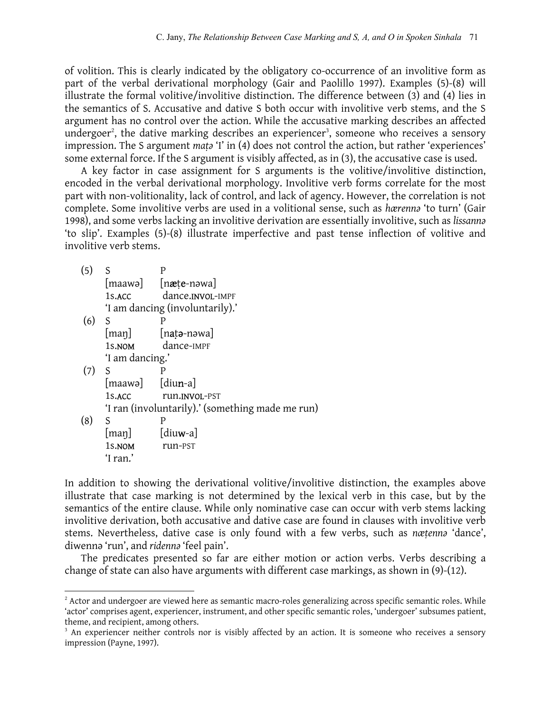of volition. This is clearly indicated by the obligatory co-occurrence of an involitive form as part of the verbal derivational morphology (Gair and Paolillo 1997). Examples (5)-(8) will illustrate the formal volitive/involitive distinction. The difference between (3) and (4) lies in the semantics of S. Accusative and dative S both occur with involitive verb stems, and the S argument has no control over the action. While the accusative marking describes an affected undergoer<sup>2</sup>[,](#page-3-0) the dative marking describes an experiencer<sup>3</sup>[,](#page-3-1) someone who receives a sensory impression. The S argument *maṭə* 'I' in (4) does not control the action, but rather 'experiences' some external force. If the S argument is visibly affected, as in (3), the accusative case is used.

A key factor in case assignment for S arguments is the volitive/involitive distinction, encoded in the verbal derivational morphology. Involitive verb forms correlate for the most part with non-volitionality, lack of control, and lack of agency. However, the correlation is not complete. Some involitive verbs are used in a volitional sense, such as *hærennə* 'to turn' (Gair 1998), and some verbs lacking an involitive derivation are essentially involitive, such as *lissannə* 'to slip'. Examples (5)-(8) illustrate imperfective and past tense inflection of volitive and involitive verb stems.

| (5) | S                                  | P                                                         |
|-----|------------------------------------|-----------------------------------------------------------|
|     |                                    | $[\text{maawa}]$ $[\text{na}t\text{e-nowa}]$              |
|     |                                    | 1s.ACC dance.INVOL-IMPF                                   |
|     |                                    | 'I am dancing (involuntarily).'                           |
| (6) | S                                  | Р                                                         |
|     |                                    | $[\text{map}]$ $[\text{nat}$ <sup>2</sup> -n $\text{and}$ |
|     | 1s.nom                             | dance-IMPF                                                |
|     | 'I am dancing.'                    |                                                           |
| (7) | S                                  |                                                           |
|     | $[\text{maawa}]$ $[\text{dium-a}]$ |                                                           |
|     | 1s.ACC                             | run.INVOL-PST                                             |
|     |                                    | 'I ran (involuntarily).' (something made me run)          |
| (8) | S                                  | P                                                         |
|     | [man]                              | $\lceil \text{diuw-a} \rceil$                             |
|     | 1s.NOM                             | run-PST                                                   |
|     | 'I ran.'                           |                                                           |

 $\overline{a}$ 

In addition to showing the derivational volitive/involitive distinction, the examples above illustrate that case marking is not determined by the lexical verb in this case, but by the semantics of the entire clause. While only nominative case can occur with verb stems lacking involitive derivation, both accusative and dative case are found in clauses with involitive verb stems. Nevertheless, dative case is only found with a few verbs, such as *næṭennə* 'dance', diwennə 'run', and *ridennə* 'feel pain'.

The predicates presented so far are either motion or action verbs. Verbs describing a change of state can also have arguments with different case markings, as shown in (9)-(12).

<span id="page-3-0"></span> $^2$  Actor and undergoer are viewed here as semantic macro-roles generalizing across specific semantic roles. While 'actor' comprises agent, experiencer, instrument, and other specific semantic roles, 'undergoer' subsumes patient, theme, and recipient, among others.

<span id="page-3-1"></span><sup>&</sup>lt;sup>3</sup> An experiencer neither controls nor is visibly affected by an action. It is someone who receives a sensory impression (Payne, 1997).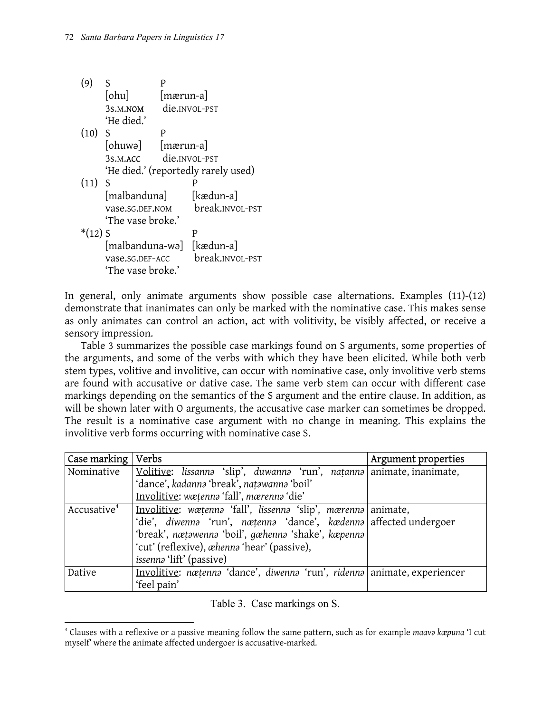| (9)       | S                         | P         |                                     |
|-----------|---------------------------|-----------|-------------------------------------|
|           | [ohu]                     | [mærun-a] |                                     |
|           | 3s.M.NOM                  |           | die. <sub>INVOL-PST</sub>           |
|           | 'He died.'                |           |                                     |
| (10)      | -S                        | P         |                                     |
|           | [ohuwə] [mærun-a]         |           |                                     |
|           | 3s.M.ACC                  |           | die.INVOL-PST                       |
|           |                           |           | 'He died.' (reportedly rarely used) |
| (11)      | -S                        |           | Р                                   |
|           | [malbanduna]              |           | [kædun-a]                           |
|           | vase.SG.DEF.NOM           |           | break.INVOL-PST                     |
|           | 'The vase broke.'         |           |                                     |
| $*(12)$ S |                           |           | P                                   |
|           | [malbanduna-wə] [kædun-a] |           |                                     |
|           | vase.sg.DEF-ACC           |           | break.INVOL-PST                     |
|           | 'The vase broke.'         |           |                                     |

In general, only animate arguments show possible case alternations. Examples (11)-(12) demonstrate that inanimates can only be marked with the nominative case. This makes sense as only animates can control an action, act with volitivity, be visibly affected, or receive a sensory impression.

Table 3 summarizes the possible case markings found on S arguments, some properties of the arguments, and some of the verbs with which they have been elicited. While both verb stem types, volitive and involitive, can occur with nominative case, only involitive verb stems are found with accusative or dative case. The same verb stem can occur with different case markings depending on the semantics of the S argument and the entire clause. In addition, as will be shown later with O arguments, the accusative case marker can sometimes be dropped. The result is a nominative case argument with no change in meaning. This explains the involitive verb forms occurring with nominative case S.

| Case marking   Verbs    |                                                                          | Argument properties |
|-------------------------|--------------------------------------------------------------------------|---------------------|
| Nominative              | Volitive: lissanna 'slip', duwanna 'run', natanna animate, inanimate,    |                     |
|                         | 'dance', kadanna 'break', natawanna 'boil'                               |                     |
|                         | Involitive: wæțenna 'fall', mærenna 'die'                                |                     |
| Accusative <sup>4</sup> | Involitive: wætenna 'fall', lissenna 'slip', mærenna animate,            |                     |
|                         | 'die', diwenna 'run', nætenna 'dance', kædenna affected undergoer        |                     |
|                         | 'break', nætawenna 'boil', gæhenna 'shake', kæpenna                      |                     |
|                         | 'cut' (reflexive), whenna 'hear' (passive),                              |                     |
|                         | <i>issenna</i> 'lift' (passive)                                          |                     |
| Dative                  | Involitive: nætenna 'dance', diwenna 'run', ridenna animate, experiencer |                     |
|                         | 'feel pain'                                                              |                     |

Table 3. Case markings on S.

<span id="page-4-0"></span> $\overline{a}$ <sup>4</sup> Clauses with a reflexive or a passive meaning follow the same pattern, such as for example maava kæpuna 'I cut myself' where the animate affected undergoer is accusative-marked.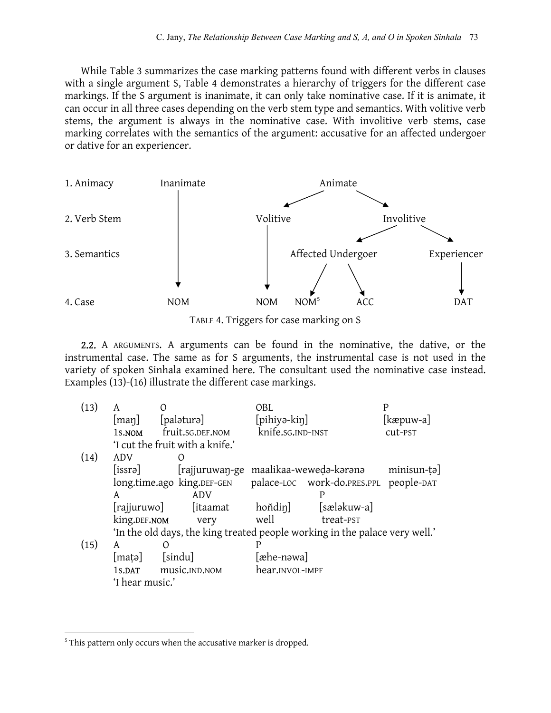While Table 3 summarizes the case marking patterns found with different verbs in clauses with a single argument S, Table 4 demonstrates a hierarchy of triggers for the different case markings. If the S argument is inanimate, it can only take nominative case. If it is animate, it can occur in all three cases depending on the verb stem type and semantics. With volitive verb stems, the argument is always in the nominative case. With involitive verb stems, case marking correlates with the semantics of the argument: accusative for an affected undergoer or dative for an experiencer.



TABLE 4. Triggers for case marking on S

2.2. A ARGUMENTS. A arguments can be found in the nominative, the dative, or the instrumental case. The same as for S arguments, the instrumental case is not used in the variety of spoken Sinhala examined here. The consultant used the nominative case instead. Examples (13)-(16) illustrate the different case markings.

| (13) | A                   | $\left( \right)$                | OBL                                                                         |                                        |
|------|---------------------|---------------------------------|-----------------------------------------------------------------------------|----------------------------------------|
|      | $\vert$ man $\vert$ | [paləturə]                      | [pihiyə-kiŋ]                                                                | $\lfloor$ kæpuw-a                      |
|      | 1s.NOM              | fruit.sg.DEF.NOM                | knife.sg.IND-INST                                                           | cut-PST                                |
|      |                     | 'I cut the fruit with a knife.' |                                                                             |                                        |
| (14) | ADV                 |                                 |                                                                             |                                        |
|      | [issrə]             |                                 | [rajjuruwan-ge maalikaa-weweda-karana                                       | $minisun-tə$                           |
|      |                     | long.time.ago king.DEF-GEN      |                                                                             | palace-LOC work-do.PRES.PPL people-DAT |
|      | A                   | ADV                             | P                                                                           |                                        |
|      | [rajjuruwo]         | [itaamat]                       | hoňdin]                                                                     | [sæləkuw-a]                            |
|      | king.DEF.NOM        | very                            | well<br>treat-PST                                                           |                                        |
|      |                     |                                 | 'In the old days, the king treated people working in the palace very well.' |                                        |
| (15) | A                   | $\circ$                         | Ρ                                                                           |                                        |
|      | [mat]               | [sindu]                         | [æhe-nəwa]                                                                  |                                        |
|      | 1s.DAT              | music.IND.NOM                   | hear.INVOL-IMPF                                                             |                                        |
|      | 'I hear music.'     |                                 |                                                                             |                                        |

 $\overline{a}$ 

<span id="page-5-0"></span><sup>&</sup>lt;sup>5</sup> This pattern only occurs when the accusative marker is dropped.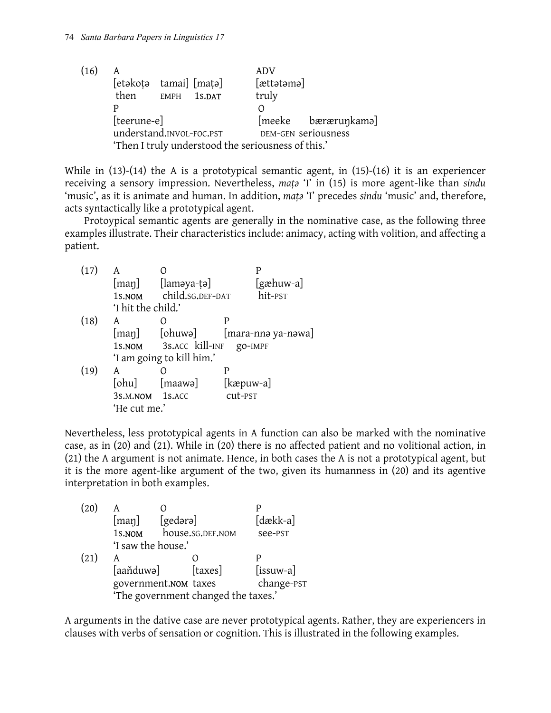| (16) | A                        |             | ADV                                                |                     |
|------|--------------------------|-------------|----------------------------------------------------|---------------------|
|      | [etəkotə tamai] [matə]   |             | [ættətəmə]                                         |                     |
|      | then                     | EMPH 1s.DAT | truly                                              |                     |
|      | D                        |             |                                                    |                     |
|      | [teerune-e]              |             |                                                    | [meeke bærærunkama] |
|      | understand.INVOL-FOC.PST |             |                                                    | DEM-GEN seriousness |
|      |                          |             | 'Then I truly understood the seriousness of this.' |                     |

While in (13)-(14) the A is a prototypical semantic agent, in (15)-(16) it is an experiencer receiving a sensory impression. Nevertheless, *maṭə* 'I' in (15) is more agent-like than *sindu* 'music', as it is animate and human. In addition, *mata* 'I' precedes *sindu* 'music' and, therefore, acts syntactically like a prototypical agent.

Protoypical semantic agents are generally in the nominative case, as the following three examples illustrate. Their characteristics include: animacy, acting with volition, and affecting a patient.

| (17) | A                  |                                  |                       |                                  |
|------|--------------------|----------------------------------|-----------------------|----------------------------------|
|      |                    | [maŋ] [laməya-ṭə]                |                       | [gæhuw-a]                        |
|      |                    | 1s.NOM child.SG.DEF-DAT          |                       | hit-PST                          |
|      | 'I hit the child.' |                                  |                       |                                  |
| (18) | A                  |                                  | P                     |                                  |
|      |                    |                                  |                       | [man] [ohuwə] [mara-nnə ya-nəwa] |
|      |                    | 1s. NOM 3s. ACC kill-INF go-IMPF |                       |                                  |
|      |                    | 'I am going to kill him.'        |                       |                                  |
| (19) | A                  |                                  | P                     |                                  |
|      | [ohu]              | [maawə]                          | $[k_{\text{opuw-a}}]$ |                                  |
|      | 3s.M.NOM 1s.ACC    |                                  | cut-PST               |                                  |
|      | 'He cut me.'       |                                  |                       |                                  |
|      |                    |                                  |                       |                                  |

Nevertheless, less prototypical agents in A function can also be marked with the nominative case, as in (20) and (21). While in (20) there is no affected patient and no volitional action, in (21) the A argument is not animate. Hence, in both cases the A is not a prototypical agent, but it is the more agent-like argument of the two, given its humanness in (20) and its agentive interpretation in both examples.

| (20) |                    |                      |                                     |                 |
|------|--------------------|----------------------|-------------------------------------|-----------------|
|      | $[$ maŋ $]$        | [gedərə]             |                                     | [dækk-a]        |
|      | 1s.NOM             |                      | house.sg.DEF.NOM                    | see-PST         |
|      | 'I saw the house.' |                      |                                     |                 |
| (21) | A                  |                      |                                     | р               |
|      | [aaňduwə]          |                      | [taxes]                             | $[$ issuw-a $]$ |
|      |                    | government.NOM taxes |                                     | change-PST      |
|      |                    |                      | 'The government changed the taxes.' |                 |

A arguments in the dative case are never prototypical agents. Rather, they are experiencers in clauses with verbs of sensation or cognition. This is illustrated in the following examples.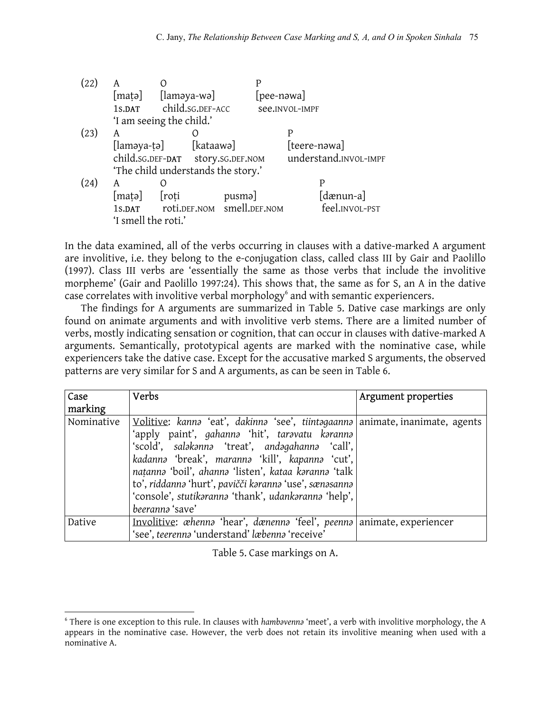| (22) | A                                    |                  |           |                            |            |                       |                |
|------|--------------------------------------|------------------|-----------|----------------------------|------------|-----------------------|----------------|
|      | $[\text{mata}]$ $[\text{lamaya-wa}]$ |                  |           |                            | [pee-nəwa] |                       |                |
|      | 1s.DAT                               | child.sg.DEF-ACC |           |                            |            | see.INVOL-IMPF        |                |
|      | 'I am seeing the child.'             |                  |           |                            |            |                       |                |
| (23) | A                                    |                  |           |                            |            | P                     |                |
|      | [laməya-ṭə]                          |                  | [kataawə] |                            |            | [teere-nawa]          |                |
|      | child.sG.DEF-DAT story.sG.DEF.NOM    |                  |           |                            |            | understand.INVOL-IMPF |                |
|      | 'The child understands the story.'   |                  |           |                            |            |                       |                |
| (24) | A                                    | 0                |           |                            |            | P                     |                |
|      | [mata]                               | roti             |           | pusma                      |            |                       | [dænun-a]      |
|      | 1s.DAT                               |                  |           | roti.DEF.NOM smell.DEF.NOM |            |                       | feel.INVOL-PST |
|      | 'I smell the roti.'                  |                  |           |                            |            |                       |                |

In the data examined, all of the verbs occurring in clauses with a dative-marked A argument are involitive, i.e. they belong to the e-conjugation class, called class III by Gair and Paolillo (1997). Class III verbs are 'essentially the same as those verbs that include the involitive morpheme' (Gair and Paolillo 1997:24). This shows that, the same as for S, an A in the dative case correlates with involitive verbal morphology<sup>[6](#page-7-0)</sup> and with semantic experiencers.

The findings for A arguments are summarized in Table 5. Dative case markings are only found on animate arguments and with involitive verb stems. There are a limited number of verbs, mostly indicating sensation or cognition, that can occur in clauses with dative-marked A arguments. Semantically, prototypical agents are marked with the nominative case, while experiencers take the dative case. Except for the accusative marked S arguments, the observed patterns are very similar for S and A arguments, as can be seen in Table 6.

| Case       | Verbs                                                                                                                                                                                                                                                                                                                                                                                                                              | Argument properties |
|------------|------------------------------------------------------------------------------------------------------------------------------------------------------------------------------------------------------------------------------------------------------------------------------------------------------------------------------------------------------------------------------------------------------------------------------------|---------------------|
| marking    |                                                                                                                                                                                                                                                                                                                                                                                                                                    |                     |
| Nominative | Volitive: kanna 'eat', dakinna 'see', tiintagaanna animate, inanimate, agents<br>'apply paint', gahanna 'hit', taravatu karanna<br>'scold', salakanna 'treat', andagahanna 'call',<br>kadanna 'break', maranna 'kill', kapanna 'cut',<br>natanna 'boil', ahanna 'listen', kataa karanna 'talk<br>to', riddanna 'hurt', pavičči karanna 'use', sænasanna<br>'console', stutikaranna 'thank', udankaranna 'help',<br>beeranna 'save' |                     |
|            |                                                                                                                                                                                                                                                                                                                                                                                                                                    |                     |
| Dative     | Involitive: <i>ahenna</i> 'hear', dænenna 'feel', peenna animate, experiencer                                                                                                                                                                                                                                                                                                                                                      |                     |
|            | 'see', teerenna 'understand' læbenna 'receive'                                                                                                                                                                                                                                                                                                                                                                                     |                     |

Table 5. Case markings on A.

<span id="page-7-0"></span> $\overline{a}$ 6 There is one exception to this rule. In clauses with *hambǝvennǝ* 'meet', a verb with involitive morphology, the A appears in the nominative case. However, the verb does not retain its involitive meaning when used with a nominative A.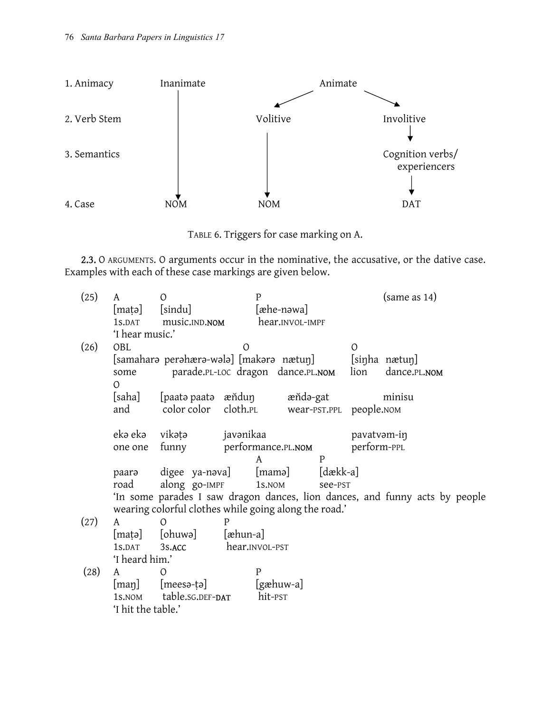

TABLE 6. Triggers for case marking on A.

2.3. O ARGUMENTS. O arguments occur in the nominative, the accusative, or the dative case. Examples with each of these case markings are given below.

| (25) | A                  | O                                                     |                    | P          |                 |                |                         | (same as 14)                                                                |
|------|--------------------|-------------------------------------------------------|--------------------|------------|-----------------|----------------|-------------------------|-----------------------------------------------------------------------------|
|      | [maṭə]             | [sindu]                                               |                    | [æhe-nəwa] |                 |                |                         |                                                                             |
|      | 1s.DAT             | music.IND.NOM                                         |                    |            | hear.INVOL-IMPF |                |                         |                                                                             |
|      | 'I hear music.'    |                                                       |                    |            |                 |                |                         |                                                                             |
| (26) | OBL                |                                                       | $\overline{O}$     |            |                 |                | $\mathcal{O}$           |                                                                             |
|      |                    | [samaharə perəhærə-wələ] [makərə nætuŋ]               |                    |            |                 |                |                         | [sinha nætun]                                                               |
|      | some               | parade.PL-LOC dragon dance.PL.NOM                     |                    |            |                 |                | lion                    | dance.PL.NOM                                                                |
|      | $\Omega$           |                                                       |                    |            |                 |                |                         |                                                                             |
|      | [saha]             | [paatə paatə) æňduŋ                                   |                    |            | æňdə-gat        |                |                         | minisu                                                                      |
|      | and                | color color cloth.PL                                  |                    |            |                 |                | wear-PST.PPL people.NOM |                                                                             |
|      |                    |                                                       |                    |            |                 |                |                         |                                                                             |
|      | ekə ekə            | vikətə                                                | javənikaa          |            |                 |                | pavatvam-in             |                                                                             |
|      | one one            | funny                                                 | performance.PL.NOM |            |                 |                | perform-PPL             |                                                                             |
|      |                    |                                                       |                    | A          |                 | $\mathsf{P}$   |                         |                                                                             |
|      | paara              | digee ya-nəva]                                        |                    | [mamə]     |                 | $[d$ ækk-a $]$ |                         |                                                                             |
|      | road               | along go-IMPF                                         |                    | 1s.NOM     |                 | see-PST        |                         |                                                                             |
|      |                    |                                                       |                    |            |                 |                |                         | 'In some parades I saw dragon dances, lion dances, and funny acts by people |
|      |                    | wearing colorful clothes while going along the road.' |                    |            |                 |                |                         |                                                                             |
| (27) | A                  | O                                                     | Ρ                  |            |                 |                |                         |                                                                             |
|      | [maṭə]             | [ohuwə]                                               | $[$ æhun-a $]$     |            |                 |                |                         |                                                                             |
|      | 1s.DAT             | 3s.ACC                                                | hear.INVOL-PST     |            |                 |                |                         |                                                                             |
|      | 'I heard him.'     |                                                       |                    |            |                 |                |                         |                                                                             |
| (28) | A                  | $\Omega$                                              | $\mathsf{P}$       |            |                 |                |                         |                                                                             |
|      | $[\mathrm{man}]$   | [meesə-ṭə]                                            |                    | [gæhuw-a]  |                 |                |                         |                                                                             |
|      | 1s.NOM             | table.sG.DEF-DAT                                      |                    | hit-PST    |                 |                |                         |                                                                             |
|      | 'I hit the table.' |                                                       |                    |            |                 |                |                         |                                                                             |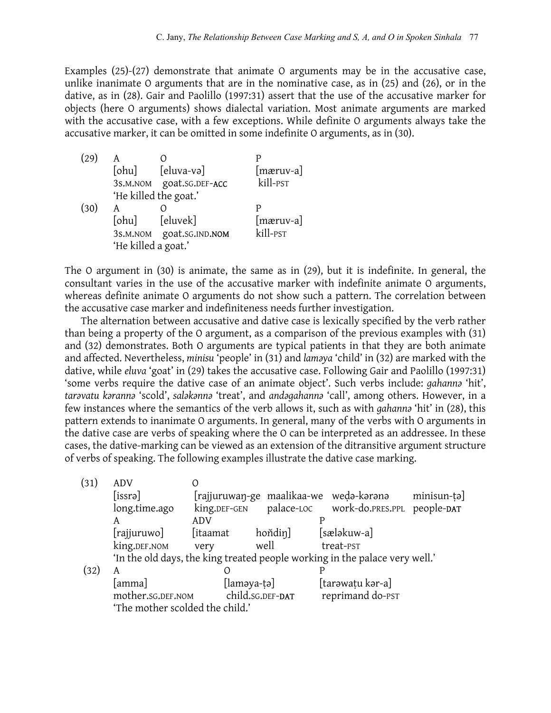Examples (25)-(27) demonstrate that animate O arguments may be in the accusative case, unlike inanimate O arguments that are in the nominative case, as in (25) and (26), or in the dative, as in (28). Gair and Paolillo (1997:31) assert that the use of the accusative marker for objects (here O arguments) shows dialectal variation. Most animate arguments are marked with the accusative case, with a few exceptions. While definite O arguments always take the accusative marker, it can be omitted in some indefinite O arguments, as in (30).

| (29) | A                     |                          | р                    |
|------|-----------------------|--------------------------|----------------------|
|      | [ohu]                 | [eluva-və]               | [mæruv-a]            |
|      |                       | 3s.M.NOM goat.sG.DEF-ACC | kill- <sub>PST</sub> |
|      | 'He killed the goat.' |                          |                      |
| (30) | A                     |                          | P                    |
|      | [ohu]                 | [eluvek]                 | [mæruv-a]            |
|      |                       | 3s.M.NOM goat.sG.IND.NOM | kill- <sub>PST</sub> |
|      | 'He killed a goat.'   |                          |                      |

The O argument in (30) is animate, the same as in (29), but it is indefinite. In general, the consultant varies in the use of the accusative marker with indefinite animate O arguments, whereas definite animate O arguments do not show such a pattern. The correlation between the accusative case marker and indefiniteness needs further investigation.

The alternation between accusative and dative case is lexically specified by the verb rather than being a property of the O argument, as a comparison of the previous examples with (31) and (32) demonstrates. Both O arguments are typical patients in that they are both animate and affected. Nevertheless, *minisu* 'people' in (31) and *laməya* 'child' in (32) are marked with the dative, while *eluva* 'goat' in (29) takes the accusative case. Following Gair and Paolillo (1997:31) 'some verbs require the dative case of an animate object'. Such verbs include: *gahannə* 'hit', *tarəvatu kərannə* 'scold', *saləkənnə* 'treat', and *andəgahannə* 'call', among others. However, in a few instances where the semantics of the verb allows it, such as with *gahannə* 'hit' in (28), this pattern extends to inanimate O arguments. In general, many of the verbs with O arguments in the dative case are verbs of speaking where the O can be interpreted as an addressee. In these cases, the dative-marking can be viewed as an extension of the ditransitive argument structure of verbs of speaking. The following examples illustrate the dative case marking.

| (31) | <b>ADV</b>                      |                         |                  |                                                                             |             |
|------|---------------------------------|-------------------------|------------------|-----------------------------------------------------------------------------|-------------|
|      | [is <sub>srə</sub> ]            |                         |                  | [rajjuruwan-ge maalikaa-we weda-karana                                      | minisun-tə] |
|      | long.time.ago                   | king.DEF-GEN            | palace-LOC       | work-do.PRES.PPL people-DAT                                                 |             |
|      | A                               | ADV                     |                  |                                                                             |             |
|      | [rajjuruwo]                     | [itaamat                | hondin]          | [sæləkuw-a]                                                                 |             |
|      | king.DEF.NOM                    | very                    | well             | treat-PST                                                                   |             |
|      |                                 |                         |                  | 'In the old days, the king treated people working in the palace very well.' |             |
| (32) | A                               |                         |                  |                                                                             |             |
|      | [amma]                          | $[lam$ <sup>-ta</sup> ] |                  | [tarəwatu kər-a]                                                            |             |
|      | mother.sg.DEF.NOM               |                         | child.sG.DEF-DAT | reprimand do-PST                                                            |             |
|      | 'The mother scolded the child.' |                         |                  |                                                                             |             |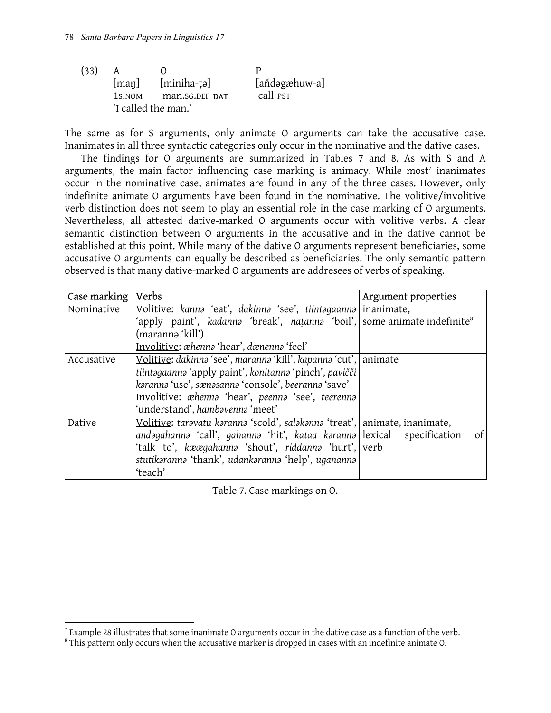| (33) | A      |                     | μ                    |
|------|--------|---------------------|----------------------|
|      | [man]  | [miniha-tə]         | [aňdəgæhuw-a]        |
|      | 1s.NOM | man.SG.DEF-DAT      | call- <sub>PST</sub> |
|      |        | 'I called the man.' |                      |

The same as for S arguments, only animate O arguments can take the accusative case. Inanimates in all three syntactic categories only occur in the nominative and the dative cases.

The findings for O arguments are summarized in Tables 7 and 8. As with S and A arguments, the main factor influencing case marking is animacy. While most<sup>[7](#page-10-0)</sup> inanimates occur in the nominative case, animates are found in any of the three cases. However, only indefinite animate O arguments have been found in the nominative. The volitive/involitive verb distinction does not seem to play an essential role in the case marking of O arguments. Nevertheless, all attested dative-marked O arguments occur with volitive verbs. A clear semantic distinction between O arguments in the accusative and in the dative cannot be established at this point. While many of the dative O arguments represent beneficiaries, some accusative O arguments can equally be described as beneficiaries. The only semantic pattern observed is that many dative-marked O arguments are addresees of verbs of speaking.

| Case marking | Verbs                                                                                | Argument properties |
|--------------|--------------------------------------------------------------------------------------|---------------------|
| Nominative   | Volitive: kanna 'eat', dakinna 'see', tiintagaanna inanimate,                        |                     |
|              | 'apply paint', kadanna 'break', natanna 'boil', some animate indefinite <sup>8</sup> |                     |
|              | (marannə 'kill')                                                                     |                     |
|              | Involitive: <i>æhenna</i> 'hear', dænenna 'feel'                                     |                     |
| Accusative   | Volitive: dakinna 'see', maranna 'kill', kapanna 'cut', animate                      |                     |
|              | tiintagaanna 'apply paint', konitanna 'pinch', pavičči                               |                     |
|              | karanna 'use', sænasanna 'console', beeranna 'save'                                  |                     |
|              | Involitive: <i>ahenna</i> 'hear', peenna 'see', teerenna                             |                     |
|              | 'understand', hambavenna 'meet'                                                      |                     |
| Dative       | Volitive: taravatu karanna 'scold', salakanna 'treat', animate, inanimate,           |                     |
|              | andəgahannə 'call', gahannə 'hit', kataa kərannə lexical                             | of<br>specification |
|              | 'talk to', kæægahanna 'shout', riddanna 'hurt', verb                                 |                     |
|              | stutikaranna 'thank', udankaranna 'help', ugananna                                   |                     |
|              | 'teach'                                                                              |                     |

Table 7. Case markings on O.

 $\overline{a}$ 

<span id="page-10-0"></span><sup>&</sup>lt;sup>7</sup> Example 28 illustrates that some inanimate O arguments occur in the dative case as a function of the verb.<br><sup>8</sup> This pattern only occurs when the accusative marker is dropped in cases with an indefinite animate O

<span id="page-10-1"></span>This pattern only occurs when the accusative marker is dropped in cases with an indefinite animate O.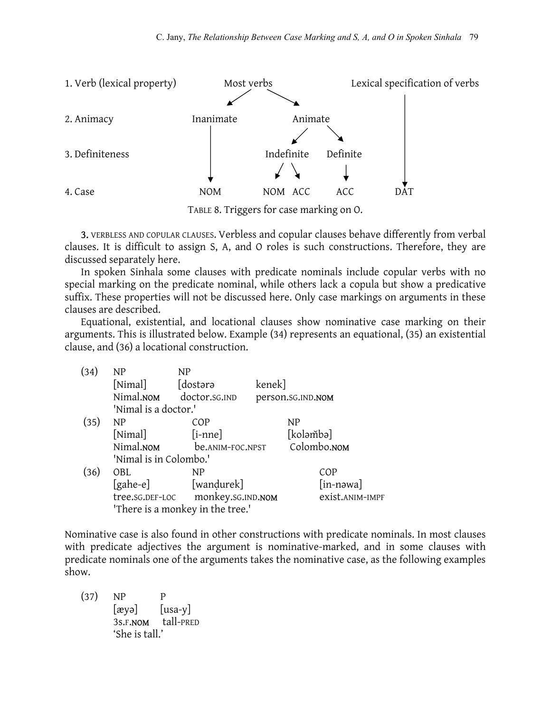

TABLE 8. Triggers for case marking on O.

3. VERBLESS AND COPULAR CLAUSES. Verbless and copular clauses behave differently from verbal clauses. It is difficult to assign S, A, and O roles is such constructions. Therefore, they are discussed separately here.

In spoken Sinhala some clauses with predicate nominals include copular verbs with no special marking on the predicate nominal, while others lack a copula but show a predicative suffix. These properties will not be discussed here. Only case markings on arguments in these clauses are described.

Equational, existential, and locational clauses show nominative case marking on their arguments. This is illustrated below. Example (34) represents an equational, (35) an existential clause, and (36) a locational construction.

| (34) | NP                     | ΝP                               |        |                           |
|------|------------------------|----------------------------------|--------|---------------------------|
|      | [Nimal]                | [dostərə                         | kenek] |                           |
|      |                        | Nimal.NOM doctor.sG.IND          |        | person.sG.IND.NOM         |
|      | 'Nimal is a doctor.'   |                                  |        |                           |
| (35) | NP                     | COP                              |        | NP                        |
|      | [Nimal]                | $[i$ -nne]                       |        | [koləmbə]                 |
|      | Nimal.NOM              | be.ANIM-FOC.NPST                 |        | Colombo.NOM               |
|      | 'Nimal is in Colombo.' |                                  |        |                           |
| (36) | OBL                    | NP                               |        | COP                       |
|      | [gahe-e]               | [wandurek]                       |        | $\lceil$ in-nəwa $\rceil$ |
|      | tree.sG.DEF-LOC        | monkey.sG.IND.NOM                |        | exist.ANIM-IMPF           |
|      |                        | 'There is a monkey in the tree.' |        |                           |

Nominative case is also found in other constructions with predicate nominals. In most clauses with predicate adjectives the argument is nominative-marked, and in some clauses with predicate nominals one of the arguments takes the nominative case, as the following examples show.

$$
(37) NP P
$$
  
\n
$$
[avg] [usa-y]
$$
  
\n
$$
3s.F.NOM
$$
 tall-PRED  
\n
$$
She is tall.
$$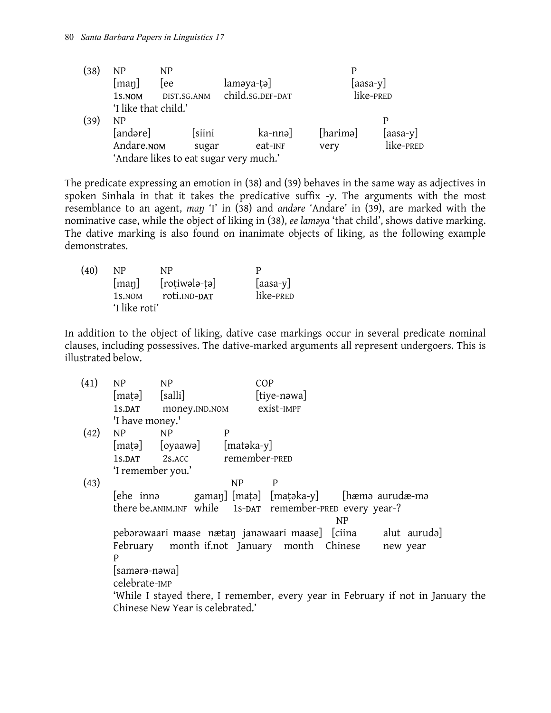| (38) | NP                   | NP          |                                        |          |                |
|------|----------------------|-------------|----------------------------------------|----------|----------------|
|      | [map]                | lee         | laməya-tə]                             |          | $[$ aasa-y $]$ |
|      | 1s.NOM               | DIST.SG.ANM | child.sg.DEF-DAT                       |          | like-PRED      |
|      | 'I like that child.' |             |                                        |          |                |
| (39) | NP                   |             |                                        |          | P              |
|      | [andəre]             | [siini      | ka-nnə]                                | [harimə] | $[$ aasa-y $]$ |
|      | Andare.NOM           | sugar       | eat-INF                                | very     | like-PRED      |
|      |                      |             | 'Andare likes to eat sugar very much.' |          |                |

The predicate expressing an emotion in (38) and (39) behaves in the same way as adjectives in spoken Sinhala in that it takes the predicative suffix *-y*. The arguments with the most resemblance to an agent, *maŋ* 'I' in (38) and *andǝre* 'Andare' in (39), are marked with the nominative case, while the object of liking in (38), *ee laməya* 'that child', shows dative marking. The dative marking is also found on inanimate objects of liking, as the following example demonstrates.

| (40) | NP.                | NP.             | Ρ              |  |
|------|--------------------|-----------------|----------------|--|
|      | [man]              | $[rotiwola-ta]$ | $[$ aasa-y $]$ |  |
|      | 1s. <sub>NOM</sub> | roti.IND-DAT    | like-PRED      |  |
|      | 'I like roti'      |                 |                |  |

In addition to the object of liking, dative case markings occur in several predicate nominal clauses, including possessives. The dative-marked arguments all represent undergoers. This is illustrated below.

| (41) | NP              | NP                               | COP                                                                             |
|------|-----------------|----------------------------------|---------------------------------------------------------------------------------|
|      | [matə] [salli]  |                                  | [tiye-nəwa]                                                                     |
|      | 1s.DAT          | money.IND.NOM                    | exist-impf                                                                      |
|      | 'I have money.' |                                  |                                                                                 |
| (42) | NP              | NP                               | P                                                                               |
|      |                 |                                  | [matə] [oyaawə] [matəka-y]                                                      |
|      | 1s.DAT          | 2s.ACC                           | remember-PRED                                                                   |
|      |                 | 'I remember you.'                |                                                                                 |
| (43) |                 |                                  | NP<br>P                                                                         |
|      |                 |                                  | [hæmə aurudæ-mə                                                                 |
|      |                 |                                  | there be.ANIM.INF while 1s-DAT remember-PRED every year-?                       |
|      |                 |                                  | NP                                                                              |
|      |                 |                                  | pebərəwaari maase nætan janəwaari maase] [ciina alut aurudə]                    |
|      |                 |                                  | February month if.not January month Chinese<br>new year                         |
|      | P               |                                  |                                                                                 |
|      | [samərə-nəwa]   |                                  |                                                                                 |
|      | celebrate-IMP   |                                  |                                                                                 |
|      |                 |                                  | 'While I stayed there, I remember, every year in February if not in January the |
|      |                 | Chinese New Year is celebrated.' |                                                                                 |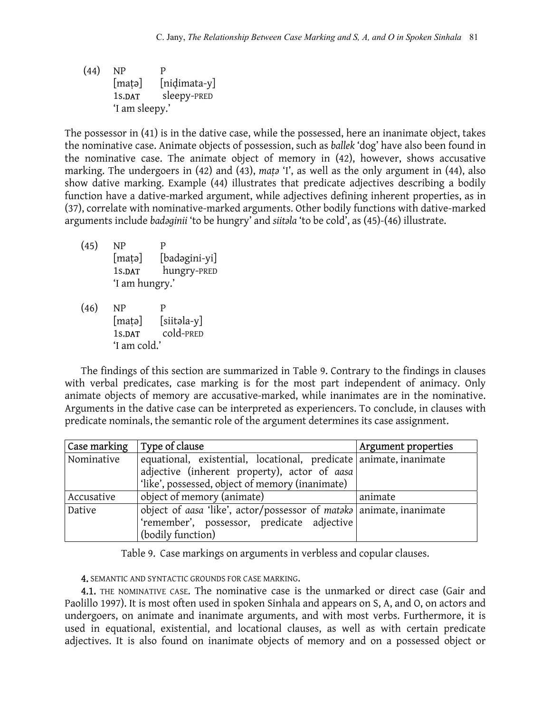(44) NP P [matə] [nidimata-y] 1s.DAT sleepy-PRED 'I am sleepy.'

The possessor in (41) is in the dative case, while the possessed, here an inanimate object, takes the nominative case. Animate objects of possession, such as *ballek* 'dog' have also been found in the nominative case. The animate object of memory in (42), however, shows accusative marking. The undergoers in (42) and (43), *maṭə* 'I', as well as the only argument in (44), also show dative marking. Example (44) illustrates that predicate adjectives describing a bodily function have a dative-marked argument, while adjectives defining inherent properties, as in (37), correlate with nominative-marked arguments. Other bodily functions with dative-marked arguments include *badəginii* 'to be hungry' and *siitəla* 'to be cold', as (45)-(46) illustrate.

- (45) NP P [maṭə] [badəgini-yi] 1s.DAT hungry-PRED 'I am hungry.'
- (46) NP P [maṭə] [siitəla-y] 1s.DAT cold-PRED 'I am cold.'

The findings of this section are summarized in Table 9. Contrary to the findings in clauses with verbal predicates, case marking is for the most part independent of animacy. Only animate objects of memory are accusative-marked, while inanimates are in the nominative. Arguments in the dative case can be interpreted as experiencers. To conclude, in clauses with predicate nominals, the semantic role of the argument determines its case assignment.

| Case marking | Type of clause                                                      | Argument properties |
|--------------|---------------------------------------------------------------------|---------------------|
| Nominative   | equational, existential, locational, predicate animate, inanimate   |                     |
|              | adjective (inherent property), actor of aasa                        |                     |
|              | 'like', possessed, object of memory (inanimate)                     |                     |
| Accusative   | object of memory (animate)                                          | animate             |
| Dative       | object of aasa 'like', actor/possessor of mataka animate, inanimate |                     |
|              | 'remember', possessor, predicate adjective                          |                     |
|              | (bodily function)                                                   |                     |

Table 9. Case markings on arguments in verbless and copular clauses.

4. SEMANTIC AND SYNTACTIC GROUNDS FOR CASE MARKING.

4.1. THE NOMINATIVE CASE. The nominative case is the unmarked or direct case (Gair and Paolillo 1997). It is most often used in spoken Sinhala and appears on S, A, and O, on actors and undergoers, on animate and inanimate arguments, and with most verbs. Furthermore, it is used in equational, existential, and locational clauses, as well as with certain predicate adjectives. It is also found on inanimate objects of memory and on a possessed object or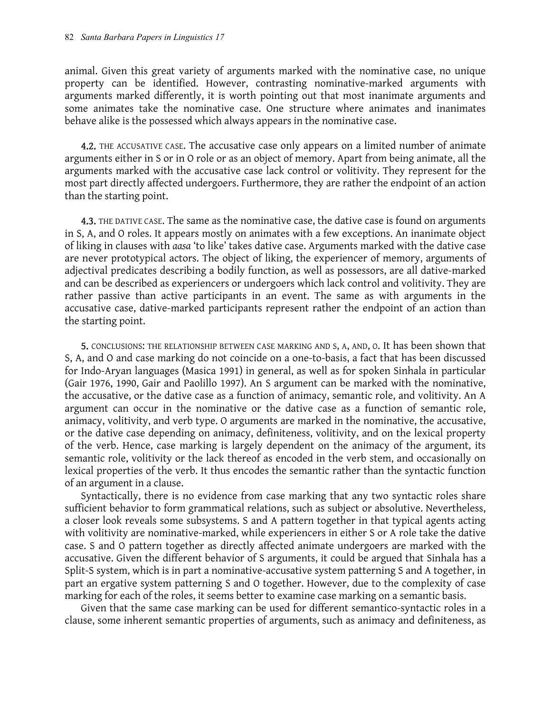animal. Given this great variety of arguments marked with the nominative case, no unique property can be identified. However, contrasting nominative-marked arguments with arguments marked differently, it is worth pointing out that most inanimate arguments and some animates take the nominative case. One structure where animates and inanimates behave alike is the possessed which always appears in the nominative case.

**4.2.** THE ACCUSATIVE CASE. The accusative case only appears on a limited number of animate arguments either in S or in O role or as an object of memory. Apart from being animate, all the arguments marked with the accusative case lack control or volitivity. They represent for the most part directly affected undergoers. Furthermore, they are rather the endpoint of an action than the starting point.

**4.3.** THE DATIVE CASE. The same as the nominative case, the dative case is found on arguments in S, A, and O roles. It appears mostly on animates with a few exceptions. An inanimate object of liking in clauses with *aasa* 'to like' takes dative case. Arguments marked with the dative case are never prototypical actors. The object of liking, the experiencer of memory, arguments of adjectival predicates describing a bodily function, as well as possessors, are all dative-marked and can be described as experiencers or undergoers which lack control and volitivity. They are rather passive than active participants in an event. The same as with arguments in the accusative case, dative-marked participants represent rather the endpoint of an action than the starting point.

5. CONCLUSIONS: THE RELATIONSHIP BETWEEN CASE MARKING AND S, A, AND, O. It has been shown that S, A, and O and case marking do not coincide on a one-to-basis, a fact that has been discussed for Indo-Aryan languages (Masica 1991) in general, as well as for spoken Sinhala in particular (Gair 1976, 1990, Gair and Paolillo 1997). An S argument can be marked with the nominative, the accusative, or the dative case as a function of animacy, semantic role, and volitivity. An A argument can occur in the nominative or the dative case as a function of semantic role, animacy, volitivity, and verb type. O arguments are marked in the nominative, the accusative, or the dative case depending on animacy, definiteness, volitivity, and on the lexical property of the verb. Hence, case marking is largely dependent on the animacy of the argument, its semantic role, volitivity or the lack thereof as encoded in the verb stem, and occasionally on lexical properties of the verb. It thus encodes the semantic rather than the syntactic function of an argument in a clause.

Syntactically, there is no evidence from case marking that any two syntactic roles share sufficient behavior to form grammatical relations, such as subject or absolutive. Nevertheless, a closer look reveals some subsystems. S and A pattern together in that typical agents acting with volitivity are nominative-marked, while experiencers in either S or A role take the dative case. S and O pattern together as directly affected animate undergoers are marked with the accusative. Given the different behavior of S arguments, it could be argued that Sinhala has a Split-S system, which is in part a nominative-accusative system patterning S and A together, in part an ergative system patterning S and O together. However, due to the complexity of case marking for each of the roles, it seems better to examine case marking on a semantic basis.

Given that the same case marking can be used for different semantico-syntactic roles in a clause, some inherent semantic properties of arguments, such as animacy and definiteness, as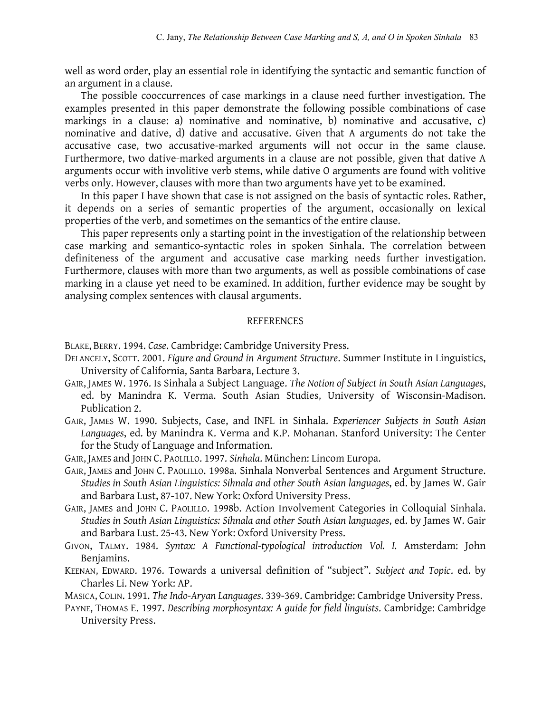well as word order, play an essential role in identifying the syntactic and semantic function of an argument in a clause.

The possible cooccurrences of case markings in a clause need further investigation. The examples presented in this paper demonstrate the following possible combinations of case markings in a clause: a) nominative and nominative, b) nominative and accusative, c) nominative and dative, d) dative and accusative. Given that A arguments do not take the accusative case, two accusative-marked arguments will not occur in the same clause. Furthermore, two dative-marked arguments in a clause are not possible, given that dative A arguments occur with involitive verb stems, while dative O arguments are found with volitive verbs only. However, clauses with more than two arguments have yet to be examined.

In this paper I have shown that case is not assigned on the basis of syntactic roles. Rather, it depends on a series of semantic properties of the argument, occasionally on lexical properties of the verb, and sometimes on the semantics of the entire clause.

This paper represents only a starting point in the investigation of the relationship between case marking and semantico-syntactic roles in spoken Sinhala. The correlation between definiteness of the argument and accusative case marking needs further investigation. Furthermore, clauses with more than two arguments, as well as possible combinations of case marking in a clause yet need to be examined. In addition, further evidence may be sought by analysing complex sentences with clausal arguments.

## REFERENCES

BLAKE, BERRY. 1994. *Case*. Cambridge: Cambridge University Press.

- DELANCELY, SCOTT. 2001. *Figure and Ground in Argument Structure*. Summer Institute in Linguistics, University of California, Santa Barbara, Lecture 3.
- GAIR, JAMES W. 1976. Is Sinhala a Subject Language. *The Notion of Subject in South Asian Languages*, ed. by Manindra K. Verma. South Asian Studies, University of Wisconsin-Madison. Publication 2.
- GAIR, JAMES W. 1990. Subjects, Case, and INFL in Sinhala. *Experiencer Subjects in South Asian Languages*, ed. by Manindra K. Verma and K.P. Mohanan. Stanford University: The Center for the Study of Language and Information.
- GAIR, JAMES and JOHN C. PAOLILLO. 1997. *Sinhala*. München: Lincom Europa.
- GAIR, JAMES and JOHN C. PAOLILLO. 1998a. Sinhala Nonverbal Sentences and Argument Structure. *Studies in South Asian Linguistics: Sihnala and other South Asian languages*, ed. by James W. Gair and Barbara Lust, 87-107. New York: Oxford University Press.
- GAIR, JAMES and JOHN C. PAOLILLO. 1998b. Action Involvement Categories in Colloquial Sinhala. *Studies in South Asian Linguistics: Sihnala and other South Asian languages*, ed. by James W. Gair and Barbara Lust. 25-43. New York: Oxford University Press.
- GIVON, TALMY. 1984. *Syntax: A Functional-typological introduction Vol. I.* Amsterdam: John Benjamins.
- KEENAN, EDWARD. 1976. Towards a universal definition of "subject". *Subject and Topic*. ed. by Charles Li. New York: AP.
- MASICA, COLIN. 1991. *The Indo-Aryan Languages*. 339-369. Cambridge: Cambridge University Press.
- PAYNE, THOMAS E. 1997. *Describing morphosyntax: A guide for field linguists*. Cambridge: Cambridge University Press.